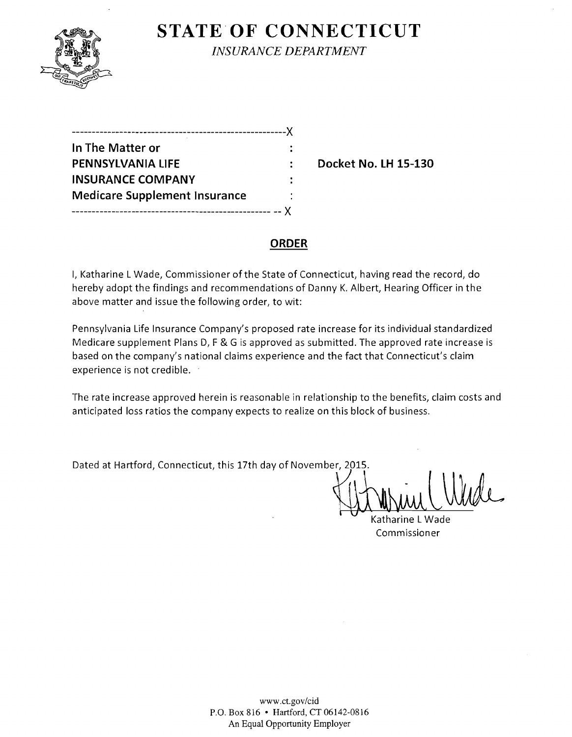

# **STATE OF CONNECTICUT**

*INSURANCE DEPARTMENT* 

| -------------                        |  |
|--------------------------------------|--|
| In The Matter or                     |  |
| <b>PENNSYLVANIA LIFE</b>             |  |
| <b>INSURANCE COMPANY</b>             |  |
| <b>Medicare Supplement Insurance</b> |  |
|                                      |  |

**Pocket No. LH 15-130** 

### **ORDER**

I, Katharine L Wade, Commissioner ofthe State of Connecticut, having read the record, do hereby adopt the findings and recommendations of Danny K. Albert, Hearing Officer in the above matter and issue the following order, to wit:

Pennsylvania Life Insurance Company's proposed rate increase for its individual standardized Medicare supplement Plans D, F & G is approved as submitted. The approved rate increase is based on the company's national claims experience and the fact that Connecticut's claim experience is not credible.

The rate increase approved herein is reasonable in relationship to the benefits, claim costs and anticipated loss ratios the company expects to realize on this block of business.

Dated at Hartford, Connecticut, this 17th day of November, 2015.

. Katharine L Wade Commissioner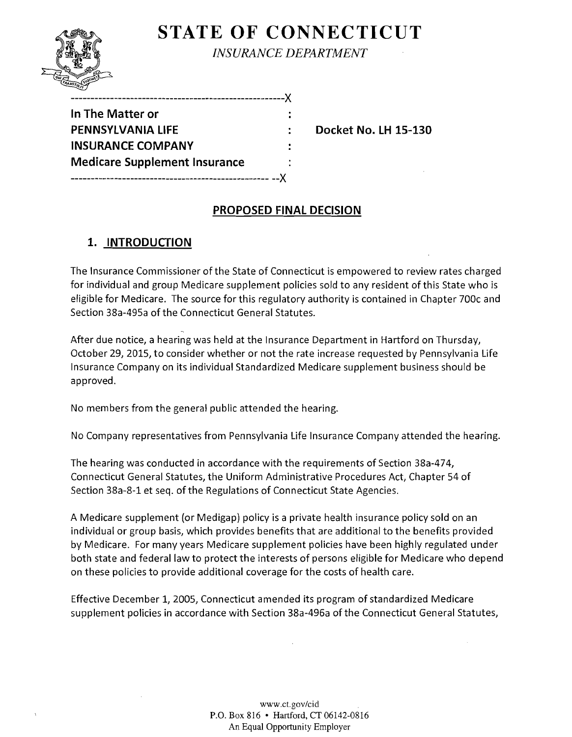

**STATE OF CONNECTICUT** 

*INSURANCE DEPARTMENT* 

| In The Matter or                     |  |
|--------------------------------------|--|
| <b>PENNSYLVANIA LIFE</b>             |  |
| <b>INSURANCE COMPANY</b>             |  |
| <b>Medicare Supplement Insurance</b> |  |
|                                      |  |
|                                      |  |

------------------------------------------------------)(

**Pocket No. LH 15-130** 

## **PROPOSED FINAL DECISION**

## **1. INTRODUCTION**

The Insurance Commissioner of the State of Connecticut is empowered to review rates charged for individual and group Medicare supplement policies sold to any resident of this State who is eligible for Medicare. The source for this regulatory authority is contained in Chapter 700c and Section 38a-495a of the Connecticut General Statutes.

After due notice, a hearing was held at the Insurance Department in Hartford on Thursday, October 29, 2015, to consider whether or not the rate increase requested by Pennsylvania Life Insurance Company on its individual Standardized Medicare supplement business should be approved.

No members from the general public attended the hearing.

No Company representatives from Pennsylvania Life Insurance Company attended the hearing.

The hearing was conducted in accordance with the requirements of Section 38a-474, Connecticut General Statutes, the Uniform Administrative Procedures Act, Chapter 54 of Section 38a-8-1 et seq. of the Regulations of Connecticut State Agencies.

A Medicare supplement (or Medigap) policy is a private health insurance policy sold on an individual or group basis, which provides benefits that are additional to the benefits provided by Medicare. For many years Medicare supplement policies have been highly regulated under both state and federal law to protect the interests of persons eligible for Medicare who depend on these policies to provide additional coverage for the costs of health care.

Effective December 1, 2005, Connecticut amended its program of standardized Medicare supplement policies in accordance with Section 38a-496a of the Connecticut General Statutes,

> www.ct.gov/cid P.O. Box 816 • Hartford, CT 06142-0816 An Equal Opportunity Employer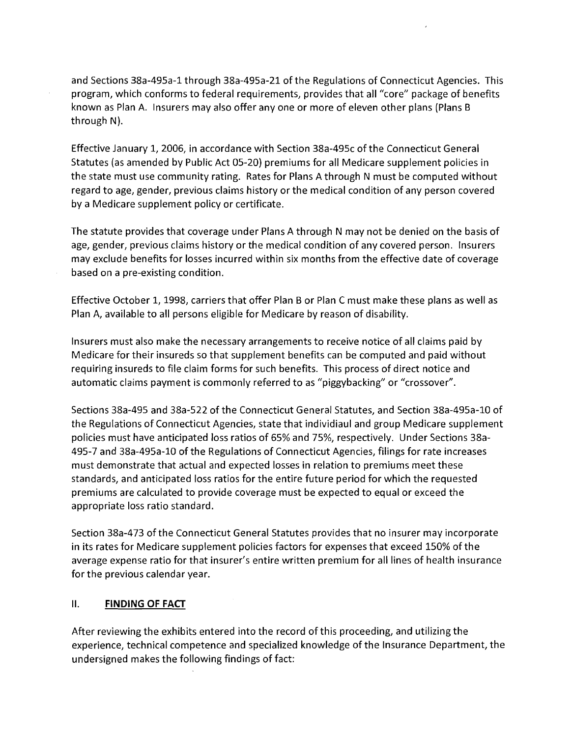and Sections 38a-495a-1 through 38a-495a-21 of the Regulations of Connecticut Agencies. This program, which conforms to federal requirements, provides that all "core" package of benefits known as Plan A. Insurers may also offer anyone or more of eleven other plans (Plans B through N).

Effective January 1,2006, in accordance with Section 38a-495c of the Connecticut General Statutes (as amended by Public Act 05-20) premiums for all Medicare supplement policies in the state must use community rating. Rates for Plans A through N must be computed without regard to age, gender, previous claims history or the medical condition of any person covered by a Medicare supplement policy or certificate.

The statute provides that coverage under Plans A through N may not be denied on the basis of age, gender, previous claims history or the medical condition of any covered person. Insurers may exclude benefits for losses incurred within six months from the effective date of coverage based on a pre-existing condition.

Effective October 1, 1998, carriers that offer Plan B or Plan C must make these plans as well as Plan A, available to all persons eligible for Medicare by reason of disability.

Insurers must also make the necessary arrangements to receive notice of all claims paid by Medicare for their insureds so that supplement benefits can be computed and paid without requiring insureds to file claim forms for such benefits. This process of direct notice and automatic claims payment is commonly referred to as "piggybacking" or "crossover".

Sections 38a-495 and 38a-522 of the Connecticut General Statutes, and Section 38a-495a-10 of the Regulations of Connecticut Agencies, state that individiaul and group Medicare supplement policies must have anticipated loss ratios of 65% and 75%, respectively. Under Sections 38a-495-7 and 38a-495a-10 of the Regulations of Connecticut Agencies, filings for rate increases must demonstrate that actual and expected losses in relation to premiums meet these standards, and anticipated loss ratios for the entire future period for which the requested premiums are calculated to provide coverage must be expected to equal or exceed the appropriate loss ratio standard.

Section 38a-473 of the Connecticut General Statutes provides that no insurer may incorporate in its rates for Medicare supplement policies factors for expenses that exceed 150% of the average expense ratio for that insurer's entire written premium for all lines of health insurance for the previous calendar year.

#### II. **FINDING OF FACT**

After reviewing the exhibits entered into the record of this proceeding, and utilizing the experience, technical competence and specialized knowledge of the Insurance Department, the undersigned makes the following findings of fact: